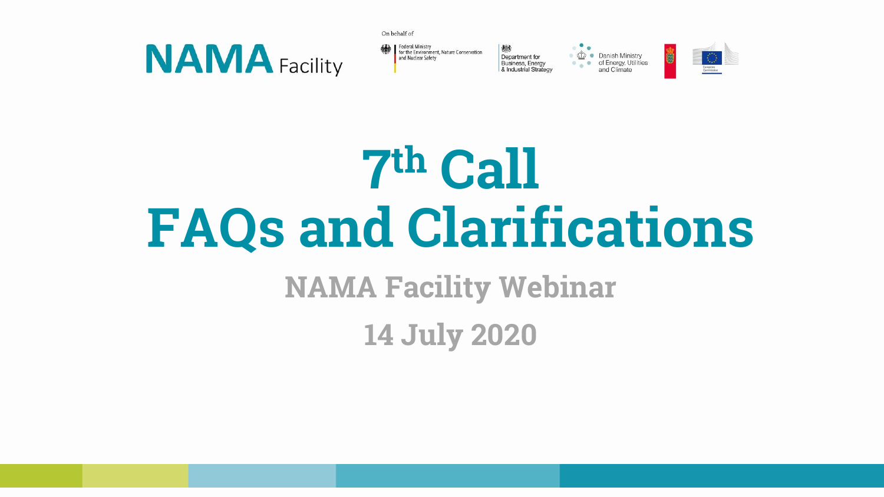



On behalf of

Department for Business, Energy & Industrial Strategy







**14 July 2020**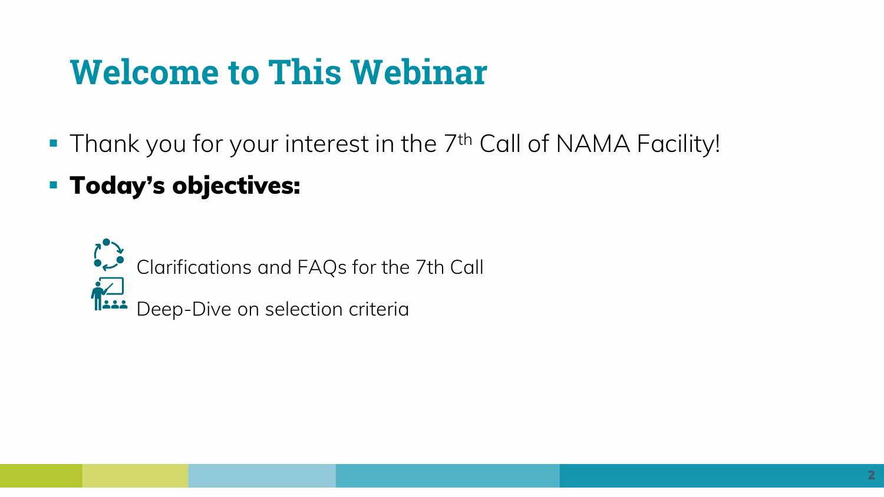# **Welcome to This Webinar**

- Thank you for your interest in the 7<sup>th</sup> Call of NAMA Facility!
- **Today's objectives:**

Clarifications and FAQs for the 7th Call Deep-Dive on selection criteria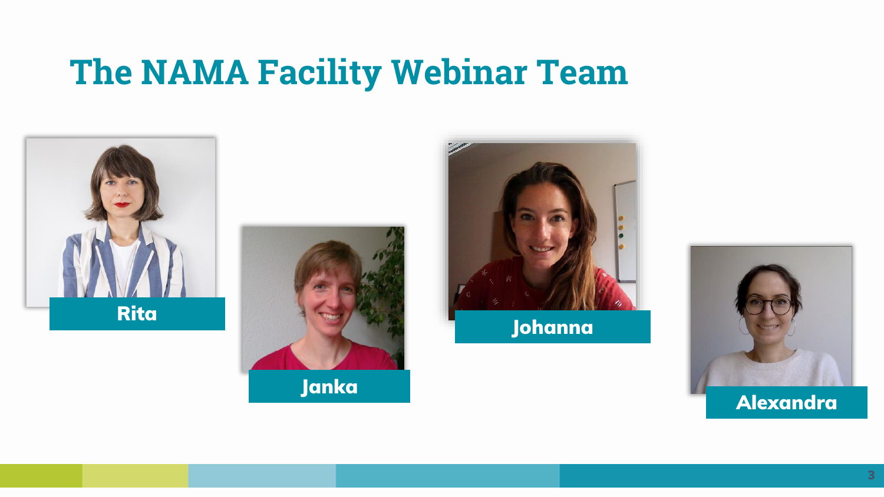### **The NAMA Facility Webinar Team**







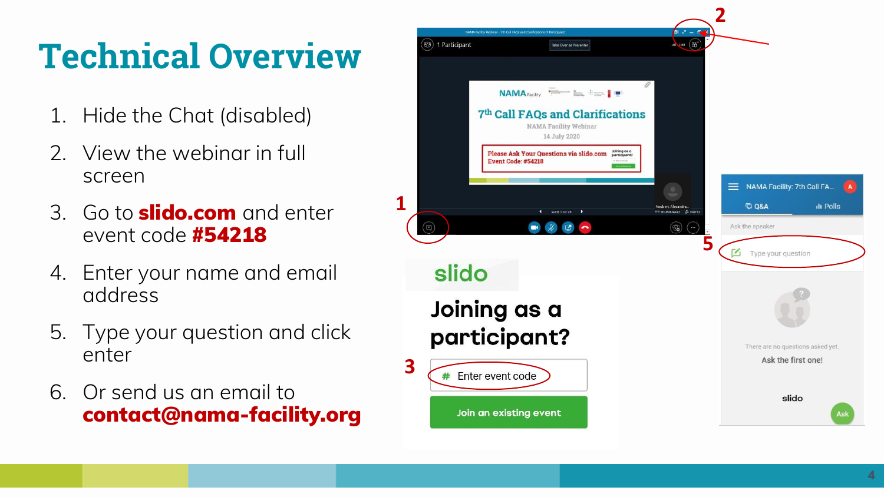# **Technical Overview**

- 1. Hide the Chat (disabled)
- 2. View the webinar in full screen
- 3. Go to **slido.com** and enter event code **#54218**
- 4. Enter your name and email address
- 5. Type your question and click enter
- 6. Or send us an email to **contact@nama -facility.org**

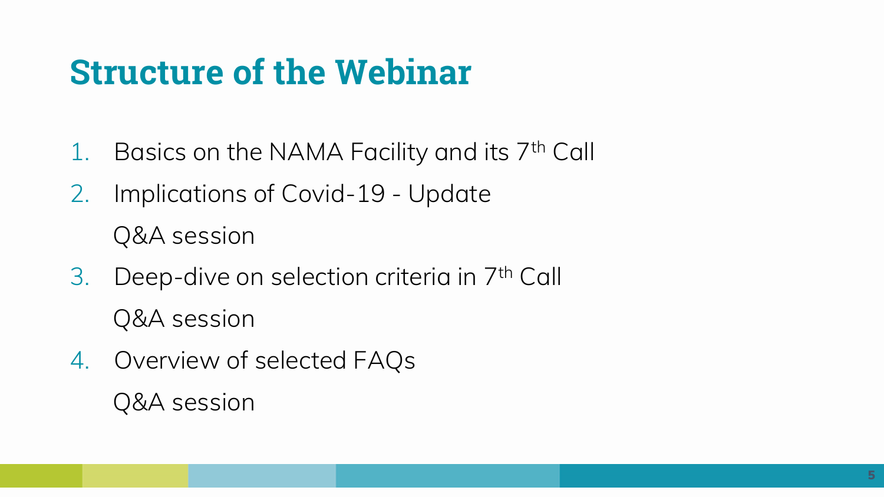- 1. Basics on the NAMA Facility and its 7th Call
- 2. Implications of Covid-19 Update Q&A session
- 3. Deep-dive on selection criteria in 7th Call Q&A session
- 4. Overview of selected FAQs Q&A session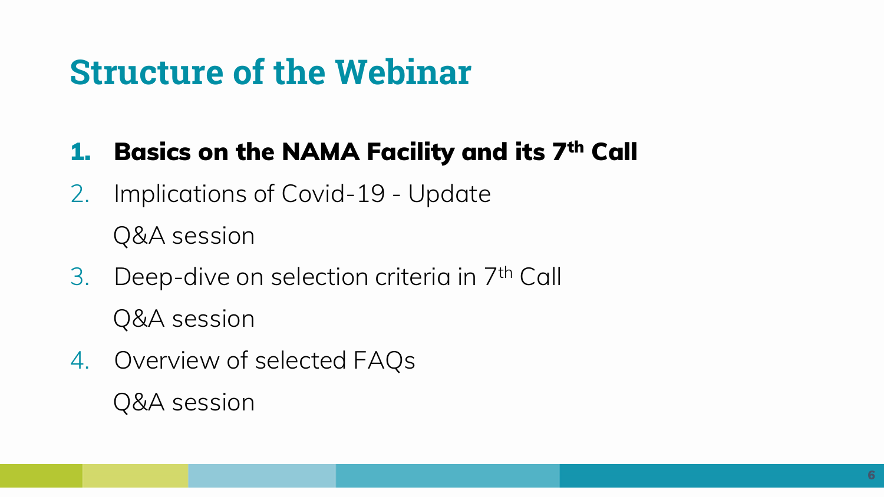### **1. Basics on the NAMA Facility and its 7th Call**

- 2. Implications of Covid-19 Update Q&A session
- 3. Deep-dive on selection criteria in 7th Call Q&A session
- 4. Overview of selected FAQs Q&A session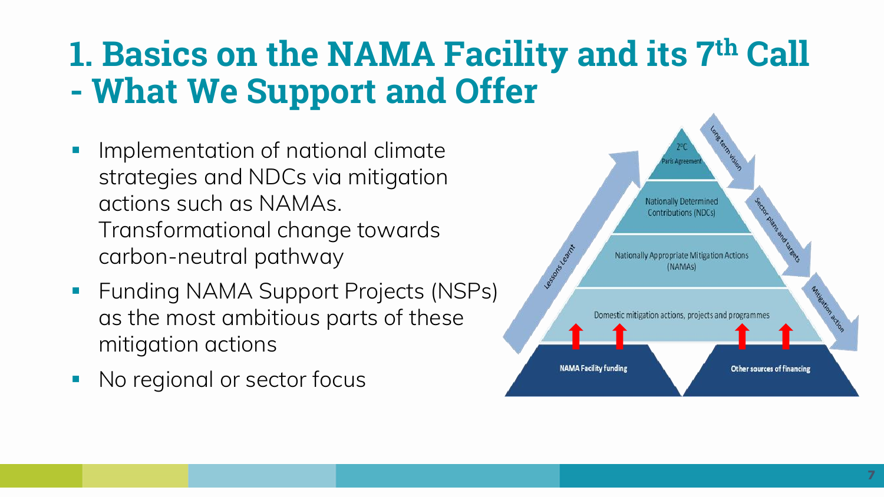# **1. Basics on the NAMA Facility and its 7th Call - What We Support and Offer**

- Implementation of national climate strategies and NDCs via mitigation actions such as NAMAs. Transformational change towards carbon-neutral pathway
- Funding NAMA Support Projects (NSPs) as the most ambitious parts of these mitigation actions
- No regional or sector focus

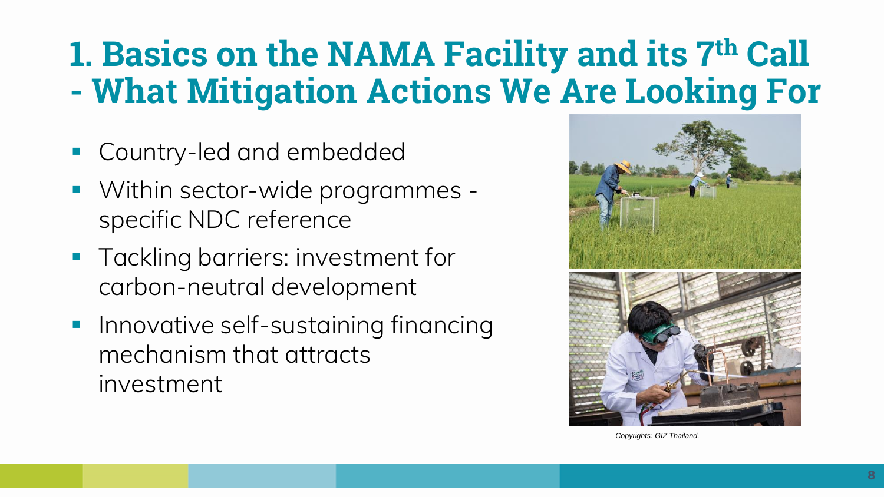# **1. Basics on the NAMA Facility and its 7th Call - What Mitigation Actions We Are Looking For**

- Country-led and embedded
- Within sector-wide programmes specific NDC reference
- **Tackling barriers: investment for** carbon-neutral development
- Innovative self-sustaining financing mechanism that attracts investment





*Copyrights: GIZ Thailand.*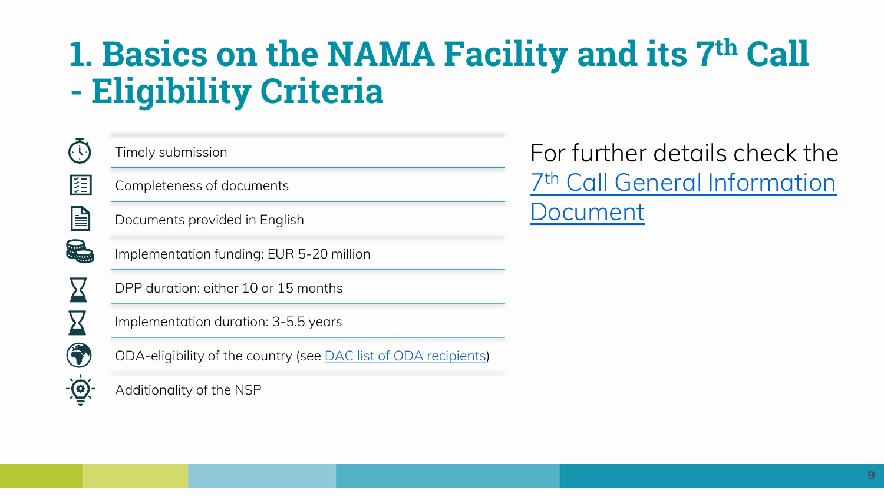# **1. Basics on the NAMA Facility and its 7th Call - Eligibility Criteria**

| $\widehat{C}$            |
|--------------------------|
| 组                        |
| è                        |
| 5                        |
|                          |
| $\overline{\phantom{a}}$ |
| Ő                        |
| $\bigodot$               |

Timely submission

Completeness of documents

Documents provided in English

Implementation funding: EUR 5-20 million

DPP duration: either 10 or 15 months

Implementation duration: 3-5.5 years

ODA-eligibility of the country (see [DAC list of ODA recipients\)](http://www.oecd.org/dac/financing-sustainable-development/development-finance-standards/daclist.htm)

Additionality of the NSP

For further details check the 7th [Call General Information](https://www.nama-facility.org/call-for-projects/7th-call/application-documents/)  Document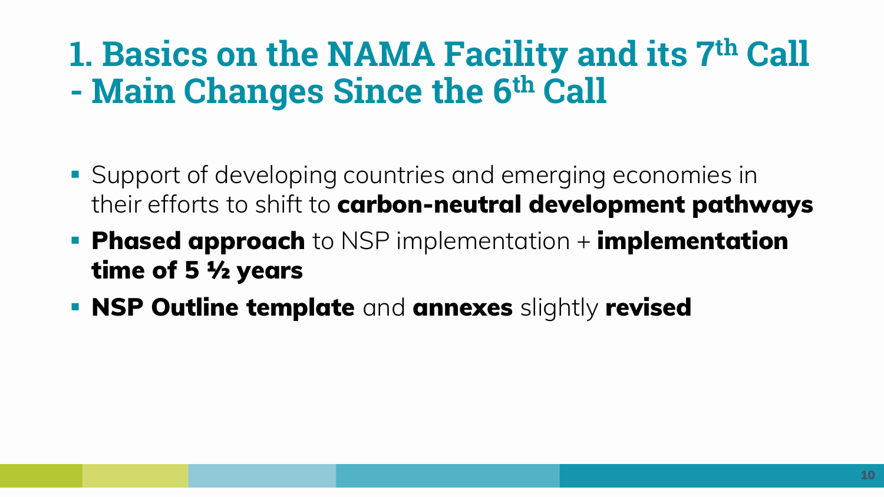## **1. Basics on the NAMA Facility and its 7th Call - Main Changes Since the 6th Call**

- Support of developing countries and emerging economies in their efforts to shift to **carbon-neutral development pathways**
- **Phased approach** to NSP implementation + **implementation time of 5 ½ years**
- **NSP Outline template** and **annexes** slightly **revised**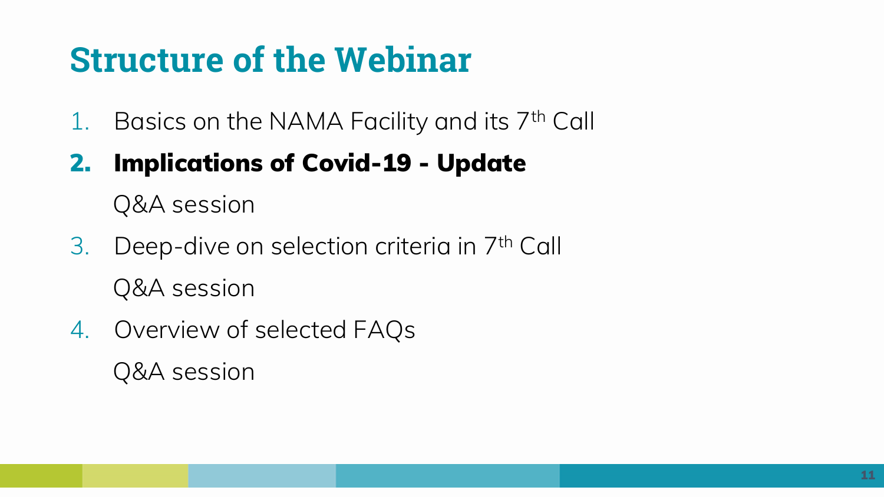1. Basics on the NAMA Facility and its 7th Call

### **2. Implications of Covid-19 - Update**

Q&A session

- 3. Deep-dive on selection criteria in 7th Call Q&A session
- 4. Overview of selected FAQs Q&A session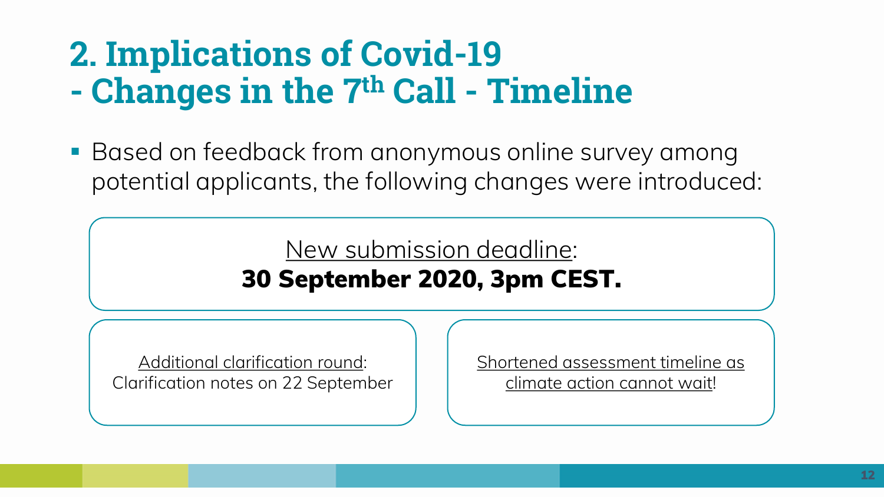## **2. Implications of Covid-19 - Changes in the 7th Call - Timeline**

**Based on feedback from anonymous online survey among** potential applicants, the following changes were introduced:

> New submission deadline: **30 September 2020, 3pm CEST.**

Additional clarification round: Clarification notes on 22 September Shortened assessment timeline as climate action cannot wait!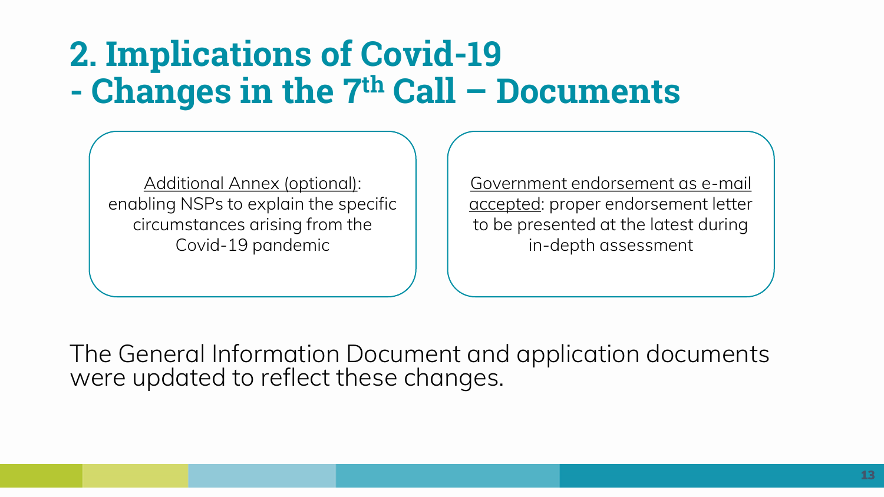# **2. Implications of Covid-19 - Changes in the 7th Call – Documents**

Additional Annex (optional): enabling NSPs to explain the specific circumstances arising from the Covid-19 pandemic

Government endorsement as e-mail accepted: proper endorsement letter to be presented at the latest during in-depth assessment

The General Information Document and application documents were updated to reflect these changes.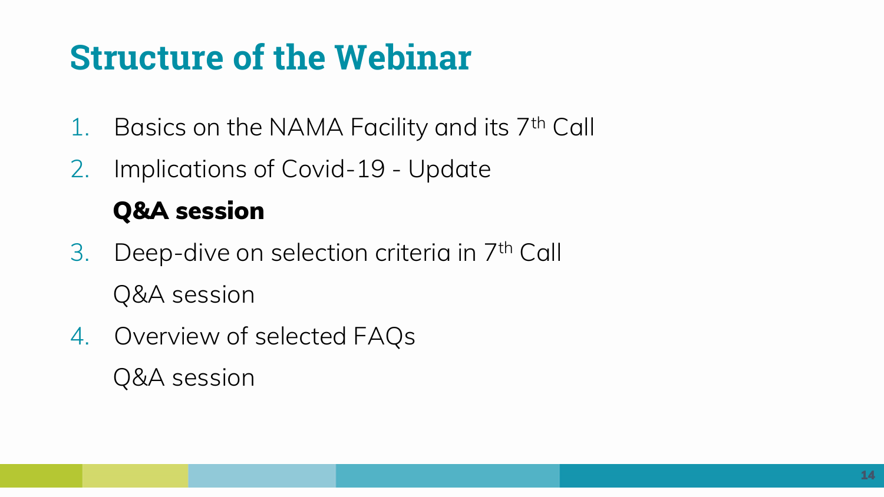- 1. Basics on the NAMA Facility and its 7th Call
- 2. Implications of Covid-19 Update

### **Q&A session**

- 3. Deep-dive on selection criteria in 7th Call Q&A session
- 4. Overview of selected FAQs Q&A session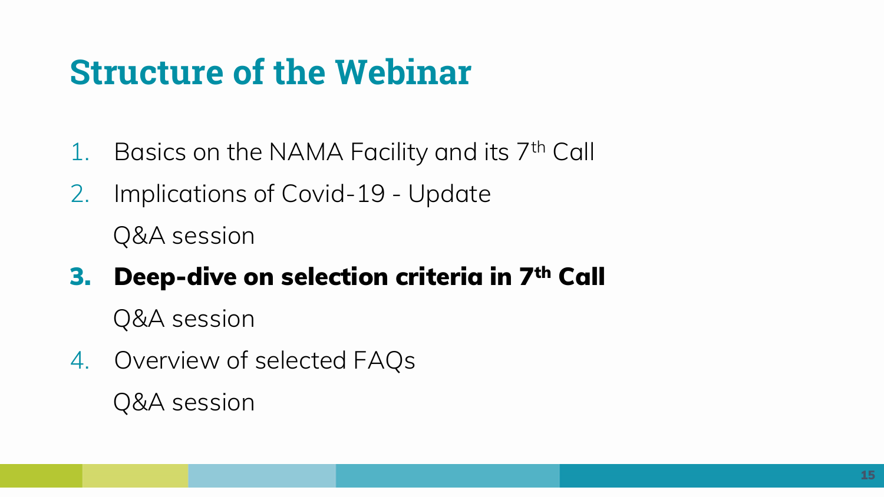- 1. Basics on the NAMA Facility and its 7th Call
- 2. Implications of Covid-19 Update

Q&A session

### **3. Deep-dive on selection criteria in 7th Call**

Q&A session

4. Overview of selected FAQs Q&A session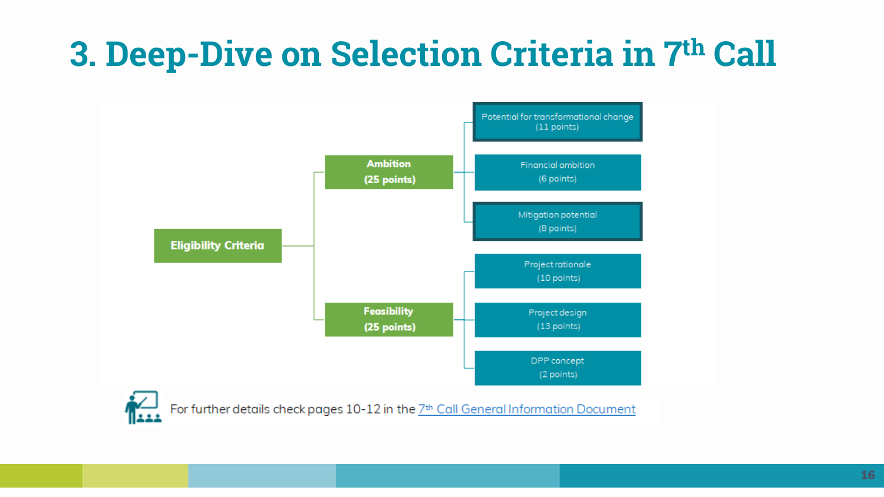# **3. Deep-Dive on Selection Criteria in 7th Call**



For further details check pages 10-12 in the 7<sup>th</sup> Call General Information Document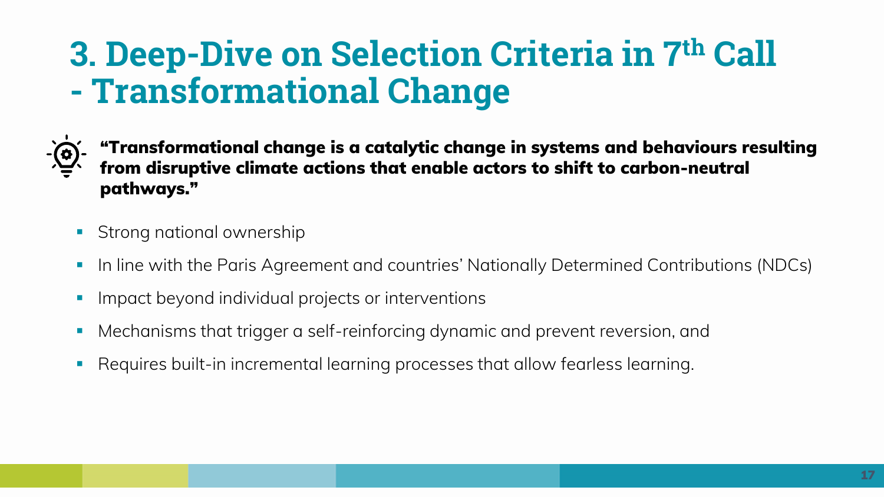## **3. Deep-Dive on Selection Criteria in 7th Call - Transformational Change**



**"Transformational change is a catalytic change in systems and behaviours resulting from disruptive climate actions that enable actors to shift to carbon-neutral pathways."**

- **•** Strong national ownership
- In line with the Paris Agreement and countries' Nationally Determined Contributions (NDCs)
- Impact beyond individual projects or interventions
- Mechanisms that trigger a self-reinforcing dynamic and prevent reversion, and
- Requires built-in incremental learning processes that allow fearless learning.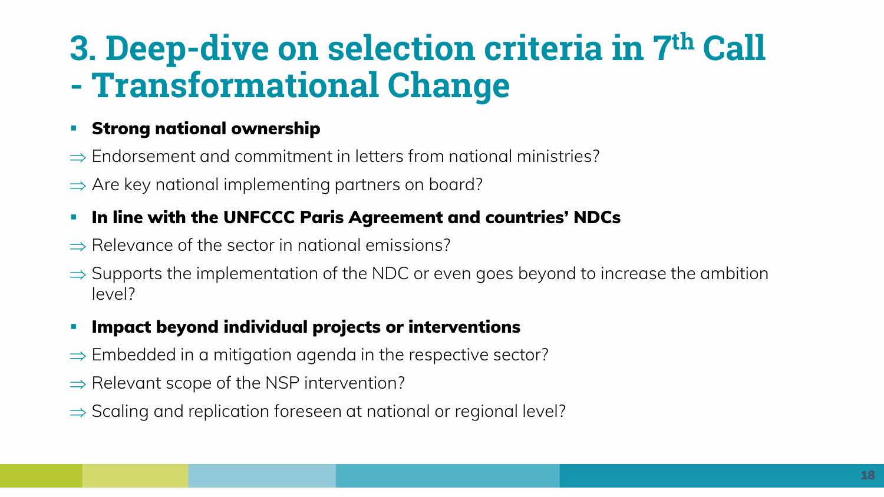# **3. Deep-dive on selection criteria in 7th Call - Transformational Change**

#### **Strong national ownership**

- $\Rightarrow$  Endorsement and commitment in letters from national ministries?
- $\Rightarrow$  Are key national implementing partners on board?

#### ▪ **In line with the UNFCCC Paris Agreement and countries' NDCs**

- $\Rightarrow$  Relevance of the sector in national emissions?
- $\Rightarrow$  Supports the implementation of the NDC or even goes beyond to increase the ambition level?

#### **Impact beyond individual projects or interventions**

- $\Rightarrow$  Embedded in a mitigation agenda in the respective sector?
- $\Rightarrow$  Relevant scope of the NSP intervention?
- $\Rightarrow$  Scaling and replication foreseen at national or regional level?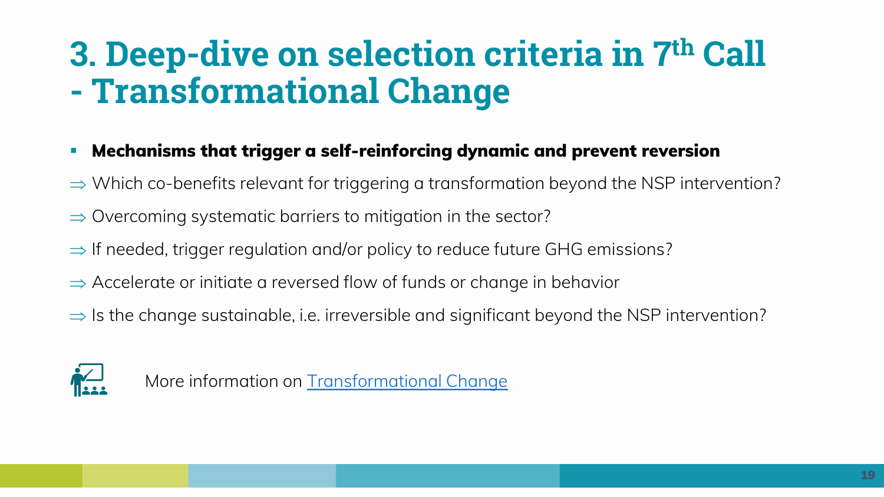# **3. Deep-dive on selection criteria in 7th Call - Transformational Change**

#### **Mechanisms that trigger a self-reinforcing dynamic and prevent reversion**

- $\Rightarrow$  Which co-benefits relevant for triggering a transformation beyond the NSP intervention?
- $\Rightarrow$  Overcoming systematic barriers to mitigation in the sector?
- $\Rightarrow$  If needed, trigger regulation and/or policy to reduce future GHG emissions?
- $\Rightarrow$  Accelerate or initiate a reversed flow of funds or change in behavior
- $\Rightarrow$  Is the change sustainable, i.e. irreversible and significant beyond the NSP intervention?



More information on [Transformational Change](https://www.nama-facility.org/concept-and-approach/transformational-change/)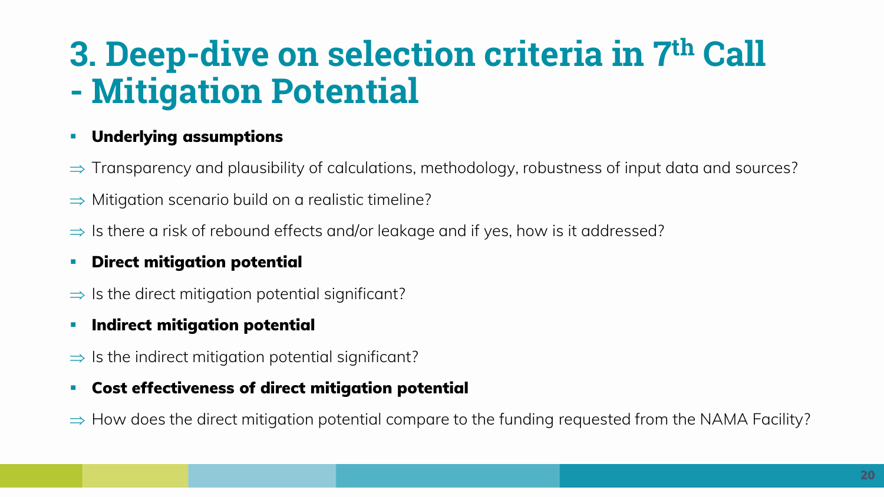# **3. Deep-dive on selection criteria in 7th Call - Mitigation Potential**

#### **Underlying assumptions**

- $\Rightarrow$  Transparency and plausibility of calculations, methodology, robustness of input data and sources?
- $\Rightarrow$  Mitigation scenario build on a realistic timeline?
- $\Rightarrow$  Is there a risk of rebound effects and/or leakage and if yes, how is it addressed?

#### **Direct mitigation potential**

 $\Rightarrow$  Is the direct mitigation potential significant?

#### **Indirect mitigation potential**

 $\Rightarrow$  Is the indirect mitigation potential significant?

#### **Cost effectiveness of direct mitigation potential**

 $\Rightarrow$  How does the direct mitigation potential compare to the funding requested from the NAMA Facility?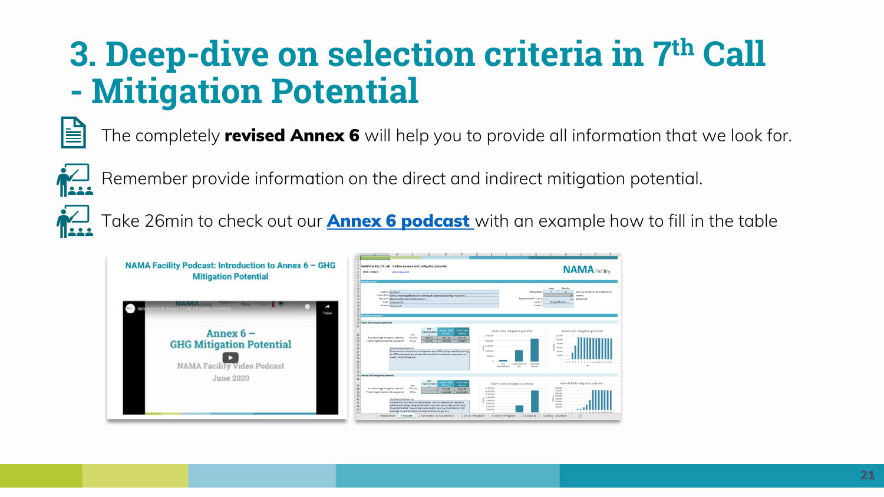## **3. Deep-dive on selection criteria in 7th Call - Mitigation Potential**



The completely **revised Annex 6** will help you to provide all information that we look for.



Remember provide information on the direct and indirect mitigation potential.

Take 26min to check out our **[Annex 6 podcast](https://www.nama-facility.org/webinars/nama-facility-podcast-introduction-to-annex-6-ghg-mitigation-potential/)** with an example how to fill in the table

| NAMA Facility Podcast: Introduction to Annex 6 - GHG<br><b>Mitigation Potential</b> | $\blacksquare$<br>$-1$<br>NAMA Facility 7th Call - Outline Annex 6 GHG mitigation potential<br><b>NAMA</b> Facility<br><b>Date: Librario</b><br><b>Go ta instruction</b><br><b><i><u>Elektronico</u></i></b>                                                                                                                                                                                                                                                                                                                                                                                                                                                                                                                                                                                                                                                                                                                                                                                                                                                                                                                                                                  |
|-------------------------------------------------------------------------------------|-------------------------------------------------------------------------------------------------------------------------------------------------------------------------------------------------------------------------------------------------------------------------------------------------------------------------------------------------------------------------------------------------------------------------------------------------------------------------------------------------------------------------------------------------------------------------------------------------------------------------------------------------------------------------------------------------------------------------------------------------------------------------------------------------------------------------------------------------------------------------------------------------------------------------------------------------------------------------------------------------------------------------------------------------------------------------------------------------------------------------------------------------------------------------------|
| <b>NAMA</b> Taciley<br>o to Annex & GHG Mitigation Potential<br>Teilen              | Member<br><b>Years</b><br>Mill Ourseland<br>New york may Customed Council<br>Country: Country K.<br>$\overline{a}$<br>Freject This Institution the Energy Efficiency Retrofitting of Residential Buildings in Country 3<br>Months<br>Applicant: Mixistry of Environment of Country X<br><b>Requested NDF Funding</b><br>Million ELR<br><b>Energy DNciency</b><br>Date: 01 April 2020<br>Sector 1:<br>Version Version 1.0<br>Serter <sub>2</sub><br><b>NGP impact entimation</b>                                                                                                                                                                                                                                                                                                                                                                                                                                                                                                                                                                                                                                                                                               |
| Annex $6 -$<br><b>GHG Mitigation Potential</b><br>NAMA Facility Video Podcast       | 20 Direct GHS mitigation potential<br>Technolog<br><b>ABRICATE</b><br>Direct GHG mitigation potential<br>Direct GHG mitigation potential<br><b>Implementatio</b><br><b>IBusine</b><br><b>NGF</b> and<br>Unit<br>3,500,000<br>120/300<br>$\frac{23}{24}$<br>35,217<br>Annual average mitigation potential<br>100.4/4<br>109,131<br>379,694<br>1,000,000<br>Tetal mitigation potential coar period<br>100.4<br>155,474<br>1,091,933<br>2.193.871<br>1,500,000<br>60,000<br>$\infty$<br>CommercialSystemation:<br>Direct emission reductions are related to up to 450 buildings retrofitted during<br>1,000,000<br><b>COL</b><br>the MP implementation phase of 6 years and 6 months into a information on<br>500.50<br>sheet il Direct Mitigation).<br>1 2 3 4 5 6 7 8 9 10 11 12 13 14 15 16<br><b>NP</b><br>32 years after her methodise<br><b>Wellen</b><br>Inchementation<br><b>STATE</b>                                                                                                                                                                                                                                                                                   |
| June 2020                                                                           | 33<br>34 Sedvest 0HS willigation potential<br>Technology<br><b>Sacherone</b><br>Indirect GHG mitigation potential<br>Indirect GHG mitigation potential<br><b>Instancements</b><br><b>IRetire</b><br>NSP and<br><b>Unit</b><br>835,000<br><b>18.500.80</b><br>100.4/a<br>37<br>Annual average mitigation penertial<br>464,115<br>731,250<br>TOP AN<br>14,800,80<br>Total mitigation potential over period<br>100.4<br>4,641,345<br>34,626,806<br>630,000<br>12,000,000<br>39<br>stations<br>33,000,000<br>$\overline{a}$<br>400,000<br>Commercia Kiplanetion:<br>6,500,80<br>300,000<br>The financial mechanism (a revolving loan fund) will allow for an upscale to<br>6,000,815<br>336,008<br>additional buildings being retrofitted in major cities across the country after<br>$rac{Q}{43}$<br>4,000,80<br><b>STRAND</b><br>the endof the NSP. The upscale is estimated to reach up to additional 2,000<br>2,000,000<br>buildings intere information on sheet 4 indirect Mitigation).<br>3 3 4 5 6 7 8 9 30 31 32 33 34 35 1<br>Introduction 1 Results 2 Parameters & Assumptions 3 Direct mitigation 4 Indirect mitigation 5 Guidance Auxiliary calculation<br>$\sqrt{2}$ |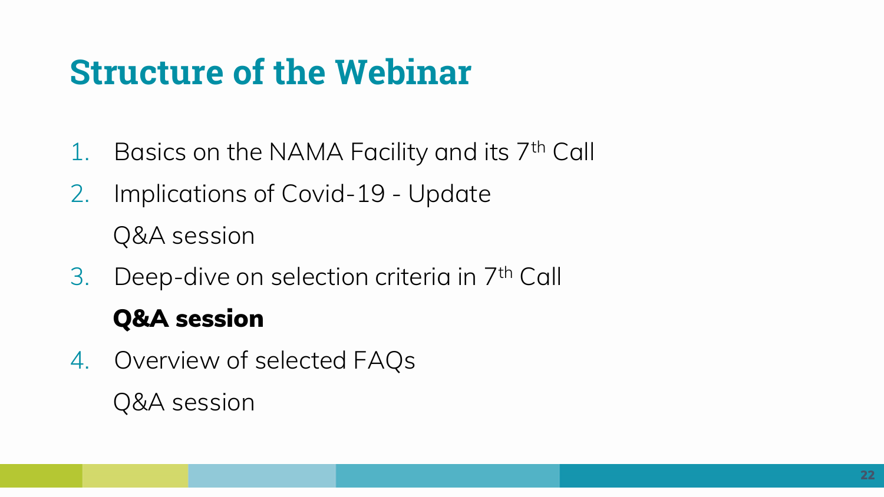- 1. Basics on the NAMA Facility and its 7th Call
- 2. Implications of Covid-19 Update Q&A session
- 3. Deep-dive on selection criteria in 7th Call

### **Q&A session**

4. Overview of selected FAQs Q&A session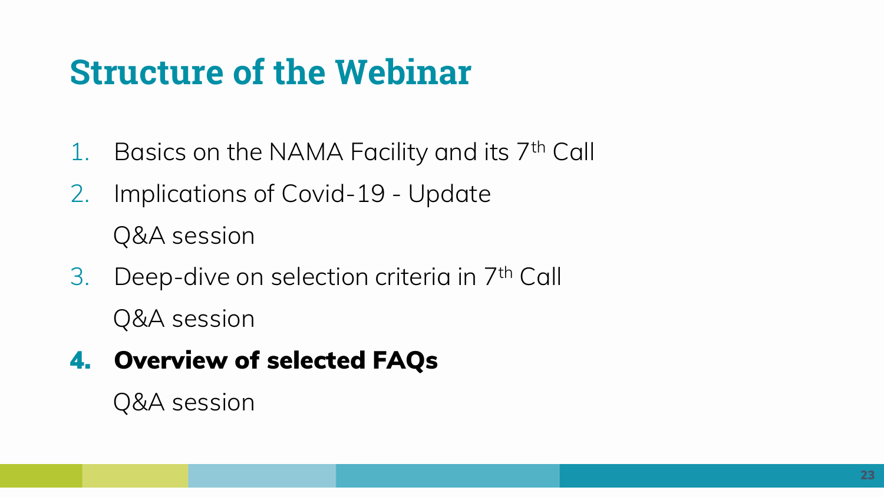- 1. Basics on the NAMA Facility and its 7th Call
- 2. Implications of Covid-19 Update Q&A session
- 3. Deep-dive on selection criteria in 7th Call Q&A session
- **4. Overview of selected FAQs**

Q&A session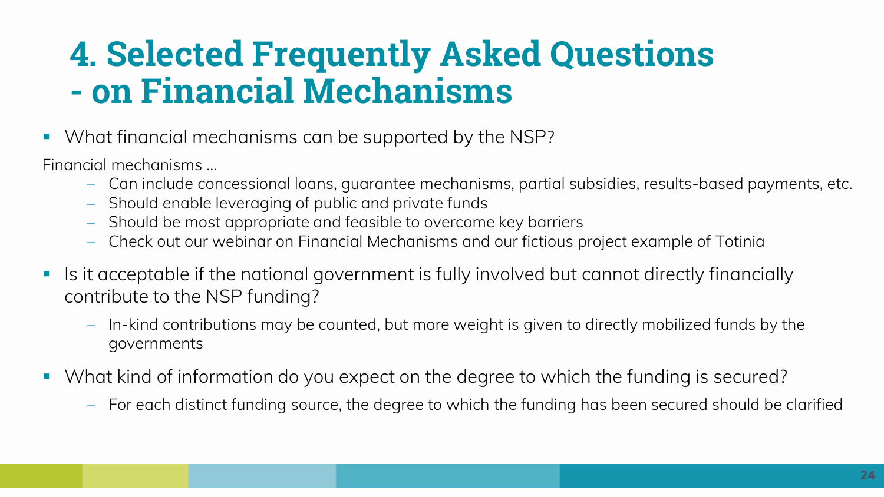### **4. Selected Frequently Asked Questions - on Financial Mechanisms**

■ What financial mechanisms can be supported by the NSP?

Financial mechanisms ...

- − Can include concessional loans, guarantee mechanisms, partial subsidies, results-based payments, etc.
- − Should enable leveraging of public and private funds
- − Should be most appropriate and feasible to overcome key barriers
- − Check out our webinar on Financial Mechanisms and our fictious project example of Totinia
- Is it acceptable if the national government is fully involved but cannot directly financially contribute to the NSP funding?
	- − In-kind contributions may be counted, but more weight is given to directly mobilized funds by the governments
- What kind of information do you expect on the degree to which the funding is secured?
	- − For each distinct funding source, the degree to which the funding has been secured should be clarified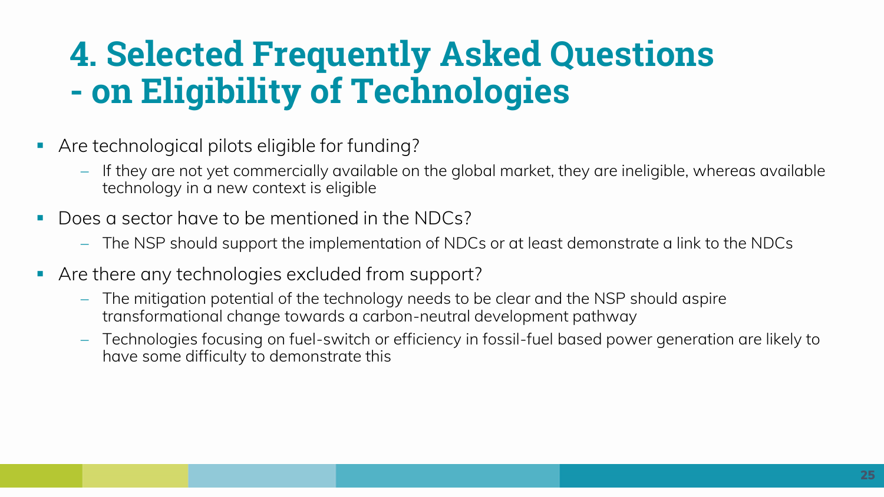### **4. Selected Frequently Asked Questions - on Eligibility of Technologies**

- Are technological pilots eligible for funding?
	- − If they are not yet commercially available on the global market, they are ineligible, whereas available technology in a new context is eligible
- Does a sector have to be mentioned in the NDCs?
	- − The NSP should support the implementation of NDCs or at least demonstrate a link to the NDCs
- Are there any technologies excluded from support?
	- − The mitigation potential of the technology needs to be clear and the NSP should aspire transformational change towards a carbon-neutral development pathway
	- − Technologies focusing on fuel-switch or efficiency in fossil-fuel based power generation are likely to have some difficulty to demonstrate this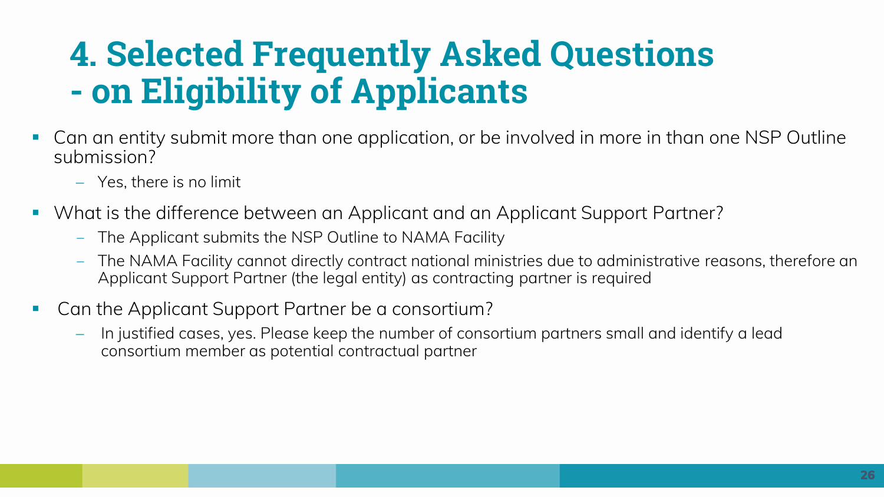# **4. Selected Frequently Asked Questions - on Eligibility of Applicants**

- Can an entity submit more than one application, or be involved in more in than one NSP Outline submission?
	- − Yes, there is no limit
- What is the difference between an Applicant and an Applicant Support Partner?
	- ‒ The Applicant submits the NSP Outline to NAMA Facility
	- ‒ The NAMA Facility cannot directly contract national ministries due to administrative reasons, therefore an Applicant Support Partner (the legal entity) as contracting partner is required
- Can the Applicant Support Partner be a consortium?
	- − In justified cases, yes. Please keep the number of consortium partners small and identify a lead consortium member as potential contractual partner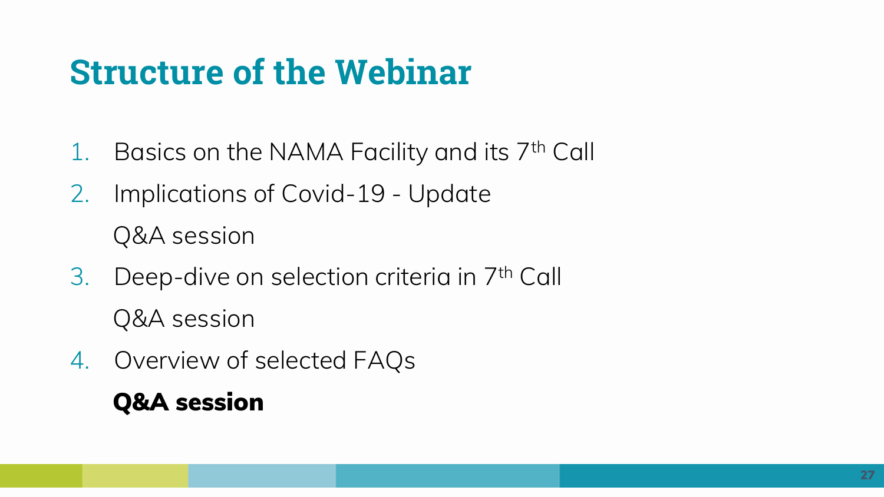- 1. Basics on the NAMA Facility and its 7th Call
- 2. Implications of Covid-19 Update Q&A session
- 3. Deep-dive on selection criteria in 7th Call Q&A session
- 4. Overview of selected FAQs **Q&A session**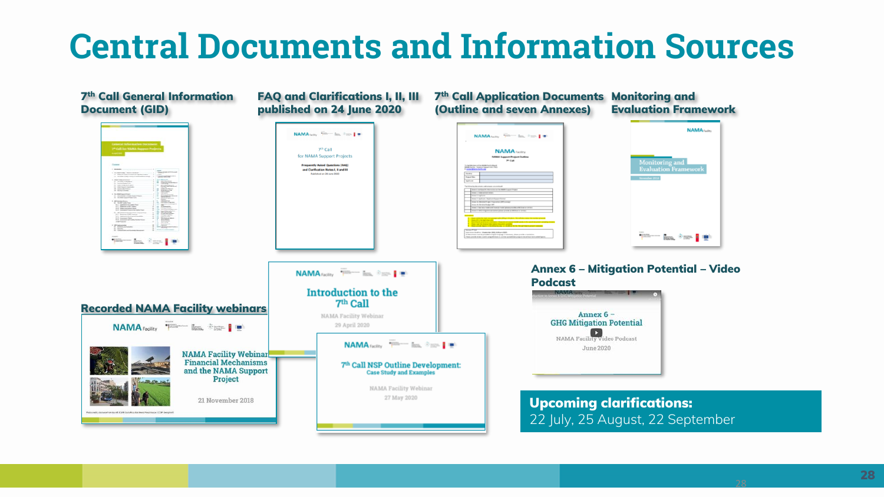### **Central Documents and Information Sources**



28